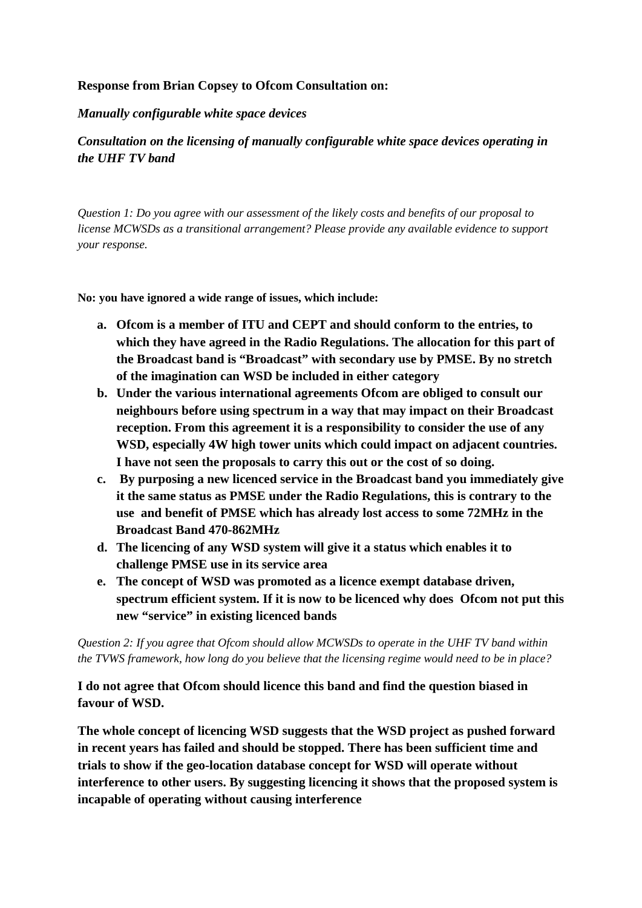## **Response from Brian Copsey to Ofcom Consultation on:**

#### *Manually configurable white space devices*

## *Consultation on the licensing of manually configurable white space devices operating in the UHF TV band*

*Question 1: Do you agree with our assessment of the likely costs and benefits of our proposal to license MCWSDs as a transitional arrangement? Please provide any available evidence to support your response.*

**No: you have ignored a wide range of issues, which include:**

- **a. Ofcom is a member of ITU and CEPT and should conform to the entries, to which they have agreed in the Radio Regulations. The allocation for this part of the Broadcast band is "Broadcast" with secondary use by PMSE. By no stretch of the imagination can WSD be included in either category**
- **b. Under the various international agreements Ofcom are obliged to consult our neighbours before using spectrum in a way that may impact on their Broadcast reception. From this agreement it is a responsibility to consider the use of any WSD, especially 4W high tower units which could impact on adjacent countries. I have not seen the proposals to carry this out or the cost of so doing.**
- **c. By purposing a new licenced service in the Broadcast band you immediately give it the same status as PMSE under the Radio Regulations, this is contrary to the use and benefit of PMSE which has already lost access to some 72MHz in the Broadcast Band 470-862MHz**
- **d. The licencing of any WSD system will give it a status which enables it to challenge PMSE use in its service area**
- **e. The concept of WSD was promoted as a licence exempt database driven, spectrum efficient system. If it is now to be licenced why does Ofcom not put this new "service" in existing licenced bands**

*Question 2: If you agree that Ofcom should allow MCWSDs to operate in the UHF TV band within the TVWS framework, how long do you believe that the licensing regime would need to be in place?*

**I do not agree that Ofcom should licence this band and find the question biased in favour of WSD.**

**The whole concept of licencing WSD suggests that the WSD project as pushed forward in recent years has failed and should be stopped. There has been sufficient time and trials to show if the geo-location database concept for WSD will operate without interference to other users. By suggesting licencing it shows that the proposed system is incapable of operating without causing interference**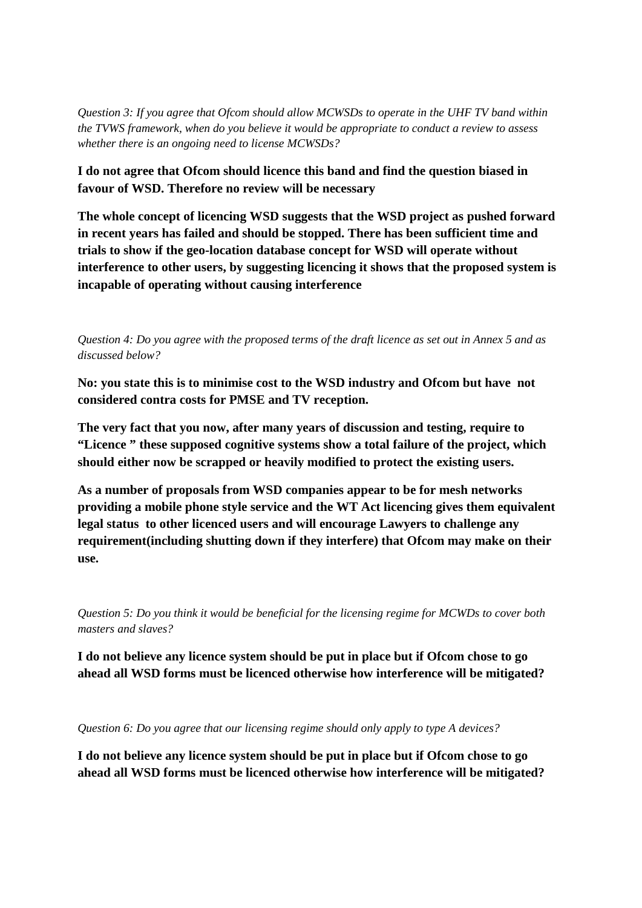*Question 3: If you agree that Ofcom should allow MCWSDs to operate in the UHF TV band within the TVWS framework, when do you believe it would be appropriate to conduct a review to assess whether there is an ongoing need to license MCWSDs?*

**I do not agree that Ofcom should licence this band and find the question biased in favour of WSD. Therefore no review will be necessary**

**The whole concept of licencing WSD suggests that the WSD project as pushed forward in recent years has failed and should be stopped. There has been sufficient time and trials to show if the geo-location database concept for WSD will operate without interference to other users, by suggesting licencing it shows that the proposed system is incapable of operating without causing interference**

*Question 4: Do you agree with the proposed terms of the draft licence as set out in Annex 5 and as discussed below?*

**No: you state this is to minimise cost to the WSD industry and Ofcom but have not considered contra costs for PMSE and TV reception.**

**The very fact that you now, after many years of discussion and testing, require to "Licence " these supposed cognitive systems show a total failure of the project, which should either now be scrapped or heavily modified to protect the existing users.**

**As a number of proposals from WSD companies appear to be for mesh networks providing a mobile phone style service and the WT Act licencing gives them equivalent legal status to other licenced users and will encourage Lawyers to challenge any requirement(including shutting down if they interfere) that Ofcom may make on their use.**

*Question 5: Do you think it would be beneficial for the licensing regime for MCWDs to cover both masters and slaves?*

**I do not believe any licence system should be put in place but if Ofcom chose to go ahead all WSD forms must be licenced otherwise how interference will be mitigated?**

*Question 6: Do you agree that our licensing regime should only apply to type A devices?*

**I do not believe any licence system should be put in place but if Ofcom chose to go ahead all WSD forms must be licenced otherwise how interference will be mitigated?**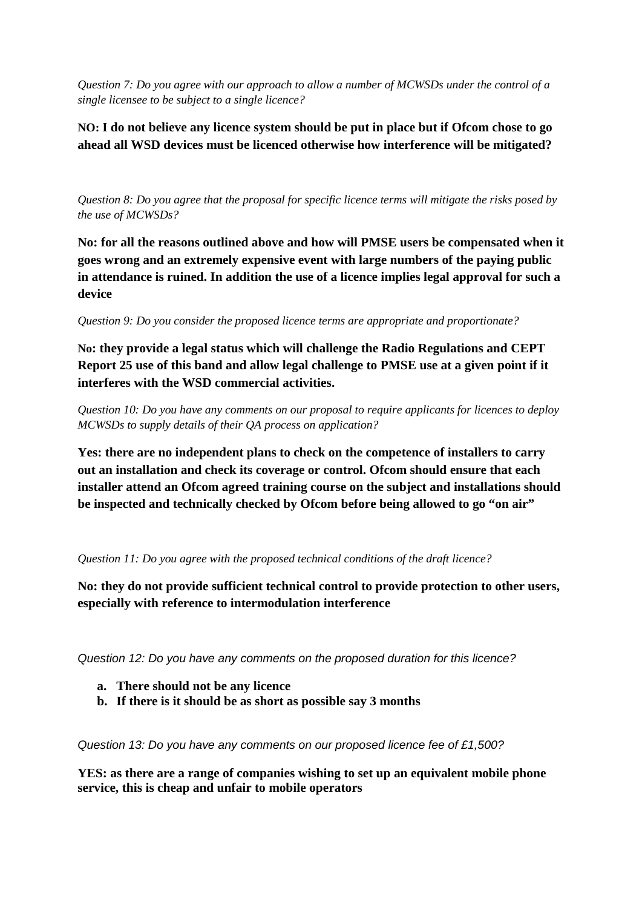*Question 7: Do you agree with our approach to allow a number of MCWSDs under the control of a single licensee to be subject to a single licence?*

# **NO: I do not believe any licence system should be put in place but if Ofcom chose to go ahead all WSD devices must be licenced otherwise how interference will be mitigated?**

*Question 8: Do you agree that the proposal for specific licence terms will mitigate the risks posed by the use of MCWSDs?*

**No: for all the reasons outlined above and how will PMSE users be compensated when it goes wrong and an extremely expensive event with large numbers of the paying public in attendance is ruined. In addition the use of a licence implies legal approval for such a device**

*Question 9: Do you consider the proposed licence terms are appropriate and proportionate?*

**No: they provide a legal status which will challenge the Radio Regulations and CEPT Report 25 use of this band and allow legal challenge to PMSE use at a given point if it interferes with the WSD commercial activities.**

*Question 10: Do you have any comments on our proposal to require applicants for licences to deploy MCWSDs to supply details of their QA process on application?*

**Yes: there are no independent plans to check on the competence of installers to carry out an installation and check its coverage or control. Ofcom should ensure that each installer attend an Ofcom agreed training course on the subject and installations should be inspected and technically checked by Ofcom before being allowed to go "on air"**

## *Question 11: Do you agree with the proposed technical conditions of the draft licence?*

**No: they do not provide sufficient technical control to provide protection to other users, especially with reference to intermodulation interference**

*Question 12: Do you have any comments on the proposed duration for this licence?* 

- **a. There should not be any licence**
- **b. If there is it should be as short as possible say 3 months**

*Question 13: Do you have any comments on our proposed licence fee of £1,500?* 

**YES: as there are a range of companies wishing to set up an equivalent mobile phone service, this is cheap and unfair to mobile operators**